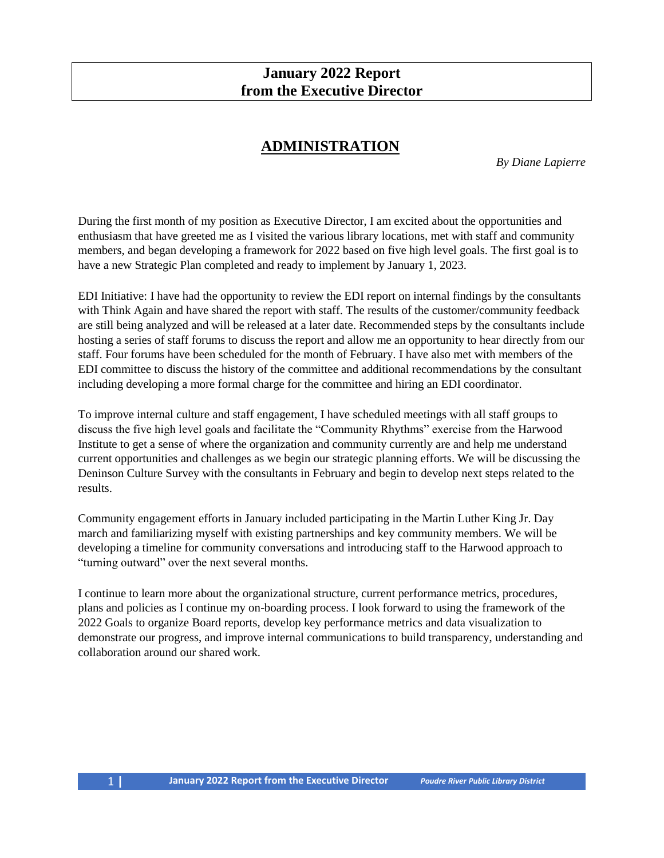### **January 2022 Report from the Executive Director**

### **ADMINISTRATION**

*By Diane Lapierre*

During the first month of my position as Executive Director, I am excited about the opportunities and enthusiasm that have greeted me as I visited the various library locations, met with staff and community members, and began developing a framework for 2022 based on five high level goals. The first goal is to have a new Strategic Plan completed and ready to implement by January 1, 2023.

EDI Initiative: I have had the opportunity to review the EDI report on internal findings by the consultants with Think Again and have shared the report with staff. The results of the customer/community feedback are still being analyzed and will be released at a later date. Recommended steps by the consultants include hosting a series of staff forums to discuss the report and allow me an opportunity to hear directly from our staff. Four forums have been scheduled for the month of February. I have also met with members of the EDI committee to discuss the history of the committee and additional recommendations by the consultant including developing a more formal charge for the committee and hiring an EDI coordinator.

To improve internal culture and staff engagement, I have scheduled meetings with all staff groups to discuss the five high level goals and facilitate the "Community Rhythms" exercise from the Harwood Institute to get a sense of where the organization and community currently are and help me understand current opportunities and challenges as we begin our strategic planning efforts. We will be discussing the Deninson Culture Survey with the consultants in February and begin to develop next steps related to the results.

Community engagement efforts in January included participating in the Martin Luther King Jr. Day march and familiarizing myself with existing partnerships and key community members. We will be developing a timeline for community conversations and introducing staff to the Harwood approach to "turning outward" over the next several months.

I continue to learn more about the organizational structure, current performance metrics, procedures, plans and policies as I continue my on-boarding process. I look forward to using the framework of the 2022 Goals to organize Board reports, develop key performance metrics and data visualization to demonstrate our progress, and improve internal communications to build transparency, understanding and collaboration around our shared work.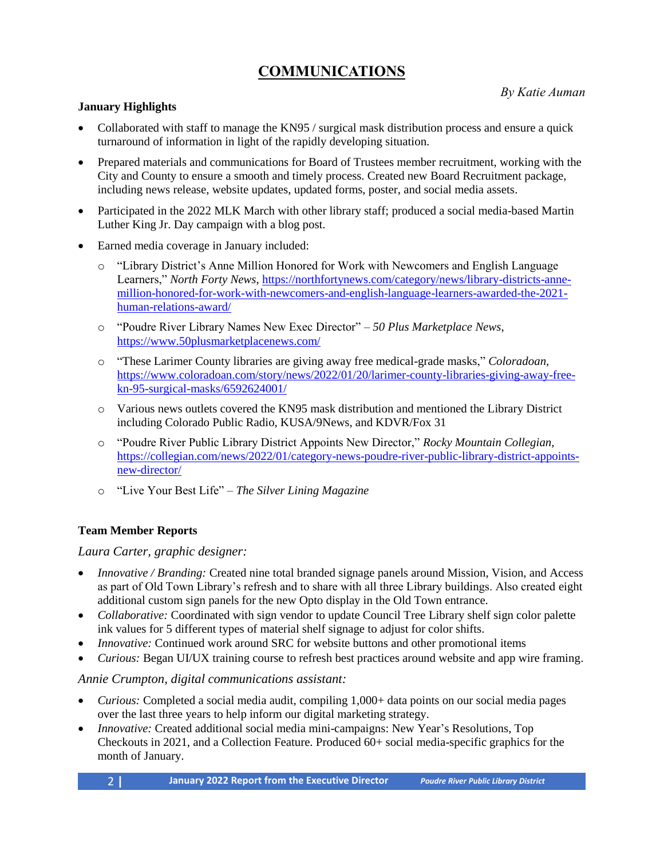## **COMMUNICATIONS**

*By Katie Auman*

#### **January Highlights**

- Collaborated with staff to manage the KN95 / surgical mask distribution process and ensure a quick turnaround of information in light of the rapidly developing situation.
- Prepared materials and communications for Board of Trustees member recruitment, working with the City and County to ensure a smooth and timely process. Created new Board Recruitment package, including news release, website updates, updated forms, poster, and social media assets.
- Participated in the 2022 MLK March with other library staff; produced a social media-based Martin Luther King Jr. Day campaign with a blog post.
- Earned media coverage in January included:
	- o "Library District's Anne Million Honored for Work with Newcomers and English Language Learners," *North Forty News*, [https://northfortynews.com/category/news/library-districts-anne](https://northfortynews.com/category/news/library-districts-anne-million-honored-for-work-with-newcomers-and-english-language-learners-awarded-the-2021-human-relations-award/)[million-honored-for-work-with-newcomers-and-english-language-learners-awarded-the-2021](https://northfortynews.com/category/news/library-districts-anne-million-honored-for-work-with-newcomers-and-english-language-learners-awarded-the-2021-human-relations-award/) [human-relations-award/](https://northfortynews.com/category/news/library-districts-anne-million-honored-for-work-with-newcomers-and-english-language-learners-awarded-the-2021-human-relations-award/)
	- o "Poudre River Library Names New Exec Director" *50 Plus Marketplace News*, <https://www.50plusmarketplacenews.com/>
	- o "These Larimer County libraries are giving away free medical-grade masks," *Coloradoan,* [https://www.coloradoan.com/story/news/2022/01/20/larimer-county-libraries-giving-away-free](https://www.coloradoan.com/story/news/2022/01/20/larimer-county-libraries-giving-away-free-kn-95-surgical-masks/6592624001/)[kn-95-surgical-masks/6592624001/](https://www.coloradoan.com/story/news/2022/01/20/larimer-county-libraries-giving-away-free-kn-95-surgical-masks/6592624001/)
	- o Various news outlets covered the KN95 mask distribution and mentioned the Library District including Colorado Public Radio, KUSA/9News, and KDVR/Fox 31
	- o "Poudre River Public Library District Appoints New Director," *Rocky Mountain Collegian,*  [https://collegian.com/news/2022/01/category-news-poudre-river-public-library-district-appoints](https://collegian.com/news/2022/01/category-news-poudre-river-public-library-district-appoints-new-director/)[new-director/](https://collegian.com/news/2022/01/category-news-poudre-river-public-library-district-appoints-new-director/)
	- o "Live Your Best Life" *The Silver Lining Magazine*

### **Team Member Reports**

#### *Laura Carter, graphic designer:*

- *Innovative / Branding:* Created nine total branded signage panels around Mission, Vision, and Access as part of Old Town Library's refresh and to share with all three Library buildings. Also created eight additional custom sign panels for the new Opto display in the Old Town entrance.
- *Collaborative:* Coordinated with sign vendor to update Council Tree Library shelf sign color palette ink values for 5 different types of material shelf signage to adjust for color shifts.
- *Innovative:* Continued work around SRC for website buttons and other promotional items
- *Curious:* Began UI/UX training course to refresh best practices around website and app wire framing.

#### *Annie Crumpton, digital communications assistant:*

- *Curious:* Completed a social media audit, compiling 1,000+ data points on our social media pages over the last three years to help inform our digital marketing strategy.
- *Innovative:* Created additional social media mini-campaigns: New Year's Resolutions, Top Checkouts in 2021, and a Collection Feature. Produced 60+ social media-specific graphics for the month of January.
	- 2 **| January 2022 Report from the Executive Director** *Poudre River Public Library District*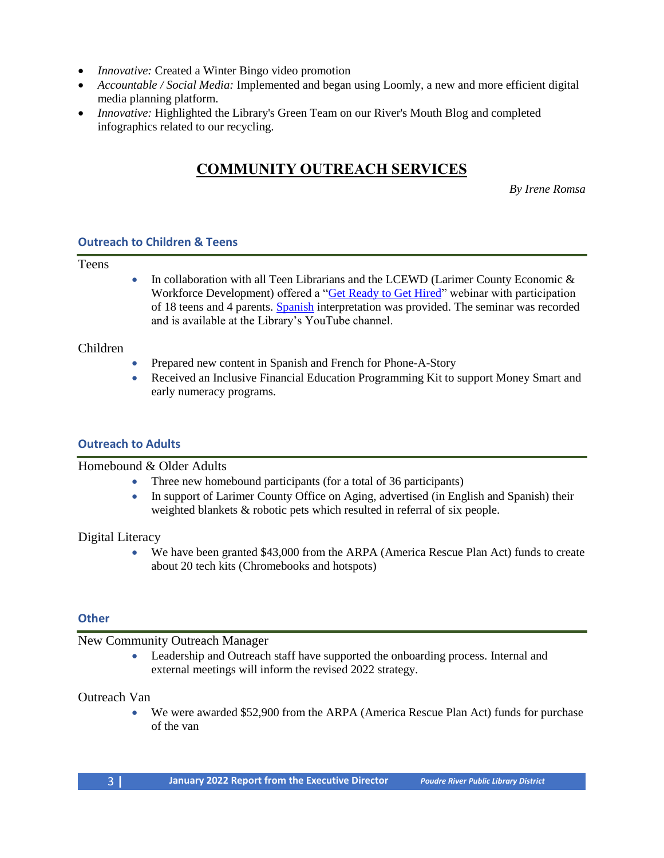- *Innovative:* Created a Winter Bingo video promotion
- *Accountable / Social Media:* Implemented and began using Loomly, a new and more efficient digital media planning platform.
- *Innovative:* Highlighted the Library's Green Team on our River's Mouth Blog and completed infographics related to our recycling.

# **COMMUNITY OUTREACH SERVICES**

*By Irene Romsa*

#### **Outreach to Children & Teens**

Teens

• In collaboration with all Teen Librarians and the LCEWD (Larimer County Economic & Workforce Development) offered a ["Get Ready to Get Hired"](https://www.youtube.com/watch?v=15STRwnwZhU) webinar with participation of 18 teens and 4 parents[. Spanish](https://www.youtube.com/watch?v=TELwUPsTqn8) interpretation was provided. The seminar was recorded and is available at the Library's YouTube channel.

#### Children

- Prepared new content in Spanish and French for Phone-A-Story
- Received an Inclusive Financial Education Programming Kit to support Money Smart and early numeracy programs.

### **Outreach to Adults**

#### Homebound & Older Adults

- Three new homebound participants (for a total of 36 participants)
- In support of Larimer County Office on Aging, advertised (in English and Spanish) their weighted blankets & robotic pets which resulted in referral of six people.

Digital Literacy

• We have been granted \$43,000 from the ARPA (America Rescue Plan Act) funds to create about 20 tech kits (Chromebooks and hotspots)

#### **Other**

#### New Community Outreach Manager

• Leadership and Outreach staff have supported the onboarding process. Internal and external meetings will inform the revised 2022 strategy.

#### Outreach Van

• We were awarded \$52,900 from the ARPA (America Rescue Plan Act) funds for purchase of the van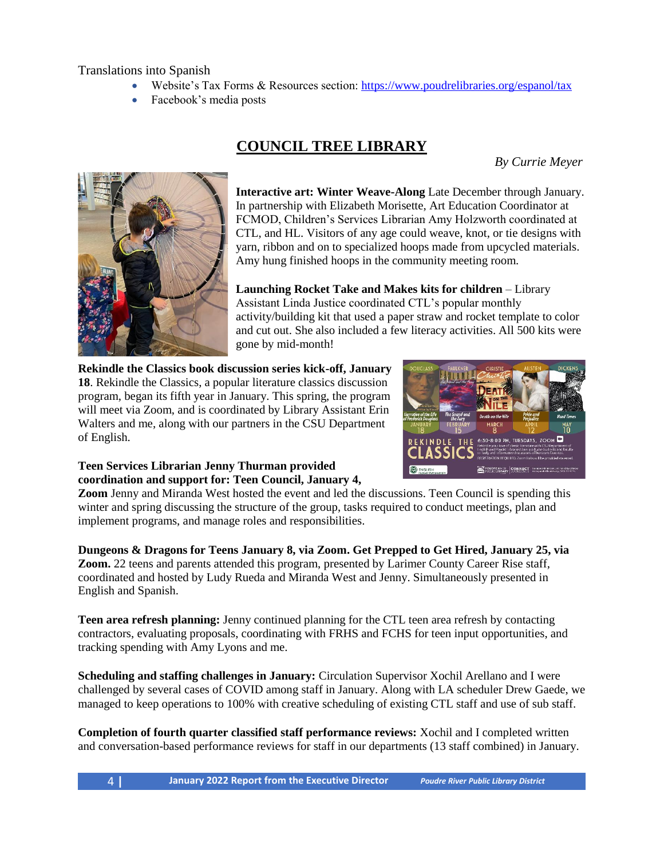Translations into Spanish

- Website's Tax Forms & Resources section:<https://www.poudrelibraries.org/espanol/tax>
- Facebook's media posts

# **COUNCIL TREE LIBRARY**

*By Currie Meyer*



**Interactive art: Winter Weave-Along** Late December through January. In partnership with Elizabeth Morisette, Art Education Coordinator at FCMOD, Children's Services Librarian Amy Holzworth coordinated at CTL, and HL. Visitors of any age could weave, knot, or tie designs with yarn, ribbon and on to specialized hoops made from upcycled materials. Amy hung finished hoops in the community meeting room.

**Launching Rocket Take and Makes kits for children** – Library Assistant Linda Justice coordinated CTL's popular monthly activity/building kit that used a paper straw and rocket template to color and cut out. She also included a few literacy activities. All 500 kits were gone by mid-month!

**Rekindle the Classics book discussion series kick-off, January 18**. Rekindle the Classics, a popular literature classics discussion program, began its fifth year in January. This spring, the program will meet via Zoom, and is coordinated by Library Assistant Erin Walters and me, along with our partners in the CSU Department of English.



#### **Teen Services Librarian Jenny Thurman provided coordination and support for: Teen Council, January 4,**

**Zoom** Jenny and Miranda West hosted the event and led the discussions. Teen Council is spending this winter and spring discussing the structure of the group, tasks required to conduct meetings, plan and implement programs, and manage roles and responsibilities.

**Dungeons & Dragons for Teens January 8, via Zoom. Get Prepped to Get Hired, January 25, via Zoom.** 22 teens and parents attended this program, presented by Larimer County Career Rise staff, coordinated and hosted by Ludy Rueda and Miranda West and Jenny. Simultaneously presented in English and Spanish.

**Teen area refresh planning:** Jenny continued planning for the CTL teen area refresh by contacting contractors, evaluating proposals, coordinating with FRHS and FCHS for teen input opportunities, and tracking spending with Amy Lyons and me.

**Scheduling and staffing challenges in January:** Circulation Supervisor Xochil Arellano and I were challenged by several cases of COVID among staff in January. Along with LA scheduler Drew Gaede, we managed to keep operations to 100% with creative scheduling of existing CTL staff and use of sub staff.

**Completion of fourth quarter classified staff performance reviews:** Xochil and I completed written and conversation-based performance reviews for staff in our departments (13 staff combined) in January.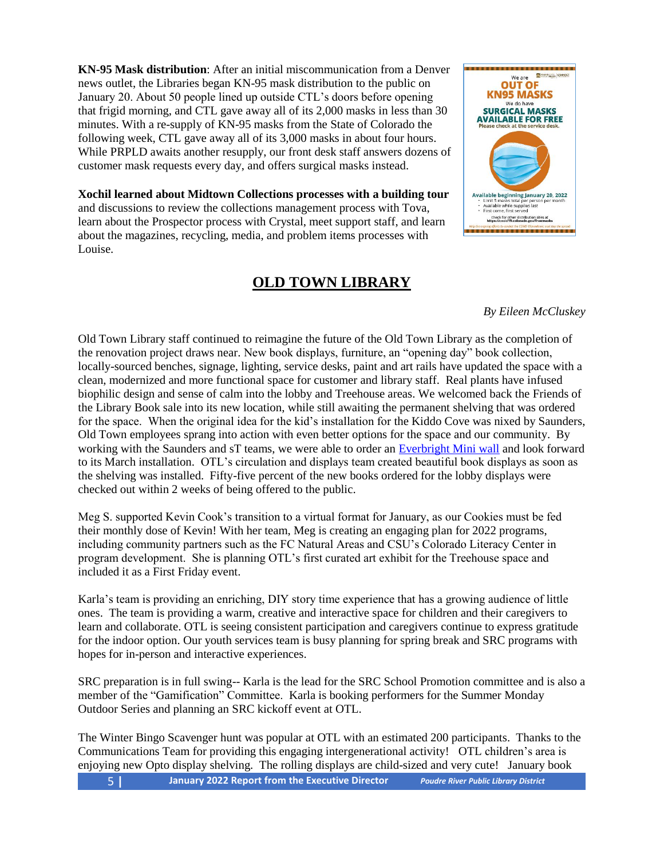**KN-95 Mask distribution**: After an initial miscommunication from a Denver news outlet, the Libraries began KN-95 mask distribution to the public on January 20. About 50 people lined up outside CTL's doors before opening that frigid morning, and CTL gave away all of its 2,000 masks in less than 30 minutes. With a re-supply of KN-95 masks from the State of Colorado the following week, CTL gave away all of its 3,000 masks in about four hours. While PRPLD awaits another resupply, our front desk staff answers dozens of customer mask requests every day, and offers surgical masks instead.

**Xochil learned about Midtown Collections processes with a building tour** and discussions to review the collections management process with Tova, learn about the Prospector process with Crystal, meet support staff, and learn about the magazines, recycling, media, and problem items processes with Louise.

## **OLD TOWN LIBRARY**



*By Eileen McCluskey*

Old Town Library staff continued to reimagine the future of the Old Town Library as the completion of the renovation project draws near. New book displays, furniture, an "opening day" book collection, locally-sourced benches, signage, lighting, service desks, paint and art rails have updated the space with a clean, modernized and more functional space for customer and library staff. Real plants have infused biophilic design and sense of calm into the lobby and Treehouse areas. We welcomed back the Friends of the Library Book sale into its new location, while still awaiting the permanent shelving that was ordered for the space. When the original idea for the kid's installation for the Kiddo Cove was nixed by Saunders, Old Town employees sprang into action with even better options for the space and our community. By working with the Saunders and sT teams, we were able to order an [Everbright Mini wall](https://theeverbright.com/industries/children-and-family-area) and look forward to its March installation. OTL's circulation and displays team created beautiful book displays as soon as the shelving was installed. Fifty-five percent of the new books ordered for the lobby displays were checked out within 2 weeks of being offered to the public.

Meg S. supported Kevin Cook's transition to a virtual format for January, as our Cookies must be fed their monthly dose of Kevin! With her team, Meg is creating an engaging plan for 2022 programs, including community partners such as the FC Natural Areas and CSU's Colorado Literacy Center in program development. She is planning OTL's first curated art exhibit for the Treehouse space and included it as a First Friday event.

Karla's team is providing an enriching, DIY story time experience that has a growing audience of little ones. The team is providing a warm, creative and interactive space for children and their caregivers to learn and collaborate. OTL is seeing consistent participation and caregivers continue to express gratitude for the indoor option. Our youth services team is busy planning for spring break and SRC programs with hopes for in-person and interactive experiences.

SRC preparation is in full swing-- Karla is the lead for the SRC School Promotion committee and is also a member of the "Gamification" Committee. Karla is booking performers for the Summer Monday Outdoor Series and planning an SRC kickoff event at OTL.

5 **| January 2022 Report from the Executive Director** *Poudre River Public Library District* The Winter Bingo Scavenger hunt was popular at OTL with an estimated 200 participants. Thanks to the Communications Team for providing this engaging intergenerational activity! OTL children's area is enjoying new Opto display shelving. The rolling displays are child-sized and very cute! January book